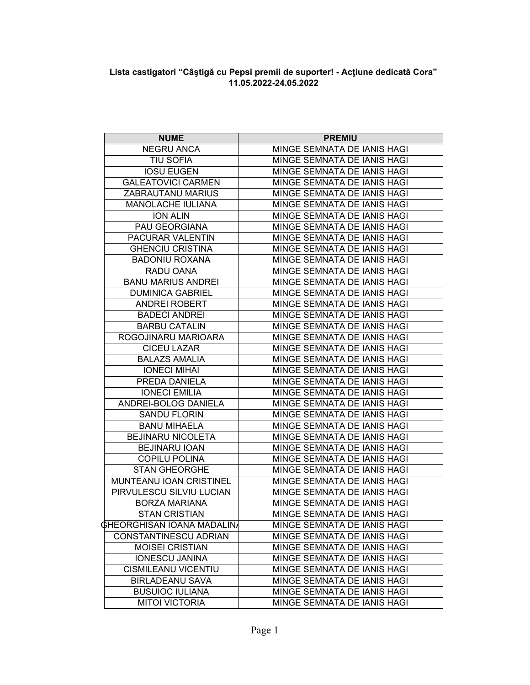## Lista castigatori "Câștigă cu Pepsi premii de suporter! - Acțiune dedicată Cora"<br>11.05.2022-24.05.2022

| <b>NUME</b>                       | <b>PREMIU</b>               |
|-----------------------------------|-----------------------------|
| <b>NEGRU ANCA</b>                 | MINGE SEMNATA DE IANIS HAGI |
| <b>TIU SOFIA</b>                  | MINGE SEMNATA DE IANIS HAGI |
| <b>IOSU EUGEN</b>                 | MINGE SEMNATA DE IANIS HAGI |
| <b>GALEATOVICI CARMEN</b>         | MINGE SEMNATA DE IANIS HAGI |
| ZABRAUTANU MARIUS                 | MINGE SEMNATA DE IANIS HAGI |
| MANOLACHE IULIANA                 | MINGE SEMNATA DE IANIS HAGI |
| <b>ION ALIN</b>                   | MINGE SEMNATA DE IANIS HAGI |
| PAU GEORGIANA                     | MINGE SEMNATA DE IANIS HAGI |
| PACURAR VALENTIN                  | MINGE SEMNATA DE IANIS HAGI |
| <b>GHENCIU CRISTINA</b>           | MINGE SEMNATA DE IANIS HAGI |
| <b>BADONIU ROXANA</b>             | MINGE SEMNATA DE IANIS HAGI |
| RADU OANA                         | MINGE SEMNATA DE IANIS HAGI |
| <b>BANU MARIUS ANDREI</b>         | MINGE SEMNATA DE IANIS HAGI |
| <b>DUMINICA GABRIEL</b>           | MINGE SEMNATA DE IANIS HAGI |
| ANDREI ROBERT                     | MINGE SEMNATA DE IANIS HAGI |
| <b>BADECI ANDREI</b>              | MINGE SEMNATA DE IANIS HAGI |
| <b>BARBU CATALIN</b>              | MINGE SEMNATA DE IANIS HAGI |
| ROGOJINARU MARIOARA               | MINGE SEMNATA DE IANIS HAGI |
| <b>CICEU LAZAR</b>                | MINGE SEMNATA DE IANIS HAGI |
| <b>BALAZS AMALIA</b>              | MINGE SEMNATA DE IANIS HAGI |
| <b>IONECI MIHAI</b>               | MINGE SEMNATA DE IANIS HAGI |
| PREDA DANIELA                     | MINGE SEMNATA DE IANIS HAGI |
| <b>IONECI EMILIA</b>              | MINGE SEMNATA DE IANIS HAGI |
| ANDREI-BOLOG DANIELA              | MINGE SEMNATA DE IANIS HAGI |
| <b>SANDU FLORIN</b>               | MINGE SEMNATA DE IANIS HAGI |
| <b>BANU MIHAELA</b>               | MINGE SEMNATA DE IANIS HAGI |
| <b>BEJINARU NICOLETA</b>          | MINGE SEMNATA DE IANIS HAGI |
| <b>BEJINARU IOAN</b>              | MINGE SEMNATA DE IANIS HAGI |
| <b>COPILU POLINA</b>              | MINGE SEMNATA DE IANIS HAGI |
| <b>STAN GHEORGHE</b>              | MINGE SEMNATA DE IANIS HAGI |
| MUNTEANU IOAN CRISTINEL           | MINGE SEMNATA DE IANIS HAGI |
| PIRVULESCU SILVIU LUCIAN          | MINGE SEMNATA DE IANIS HAGI |
| <b>BORZA MARIANA</b>              | MINGE SEMNATA DE IANIS HAGI |
| <b>STAN CRISTIAN</b>              | MINGE SEMNATA DE IANIS HAGI |
| <b>GHEORGHISAN IOANA MADALINA</b> | MINGE SEMNATA DE IANIS HAGI |
| CONSTANTINESCU ADRIAN             | MINGE SEMNATA DE IANIS HAGI |
| <b>MOISEI CRISTIAN</b>            | MINGE SEMNATA DE IANIS HAGI |
| <b>IONESCU JANINA</b>             | MINGE SEMNATA DE IANIS HAGI |
| <b>CISMILEANU VICENTIU</b>        | MINGE SEMNATA DE IANIS HAGI |
| <b>BIRLADEANU SAVA</b>            | MINGE SEMNATA DE IANIS HAGI |
| <b>BUSUIOC IULIANA</b>            | MINGE SEMNATA DE IANIS HAGI |
| <b>MITOI VICTORIA</b>             | MINGE SEMNATA DE IANIS HAGI |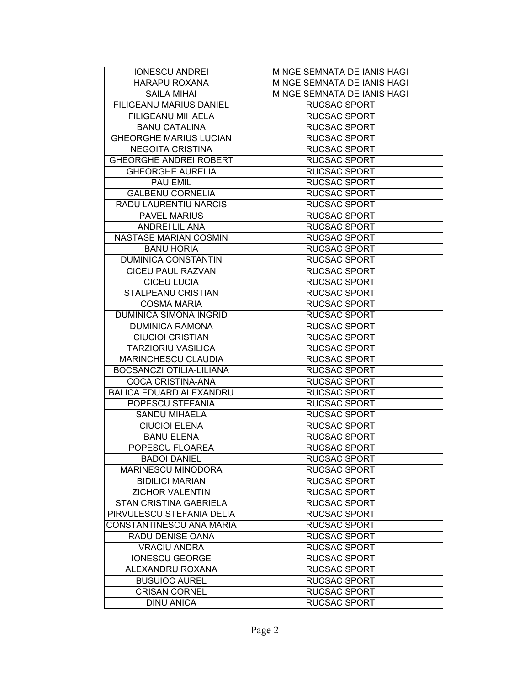| <b>IONESCU ANDREI</b>          | MINGE SEMNATA DE IANIS HAGI |
|--------------------------------|-----------------------------|
| <b>HARAPU ROXANA</b>           | MINGE SEMNATA DE IANIS HAGI |
| <b>SAILA MIHAI</b>             | MINGE SEMNATA DE IANIS HAGI |
| FILIGEANU MARIUS DANIEL        | <b>RUCSAC SPORT</b>         |
| <b>FILIGEANU MIHAELA</b>       | <b>RUCSAC SPORT</b>         |
| <b>BANU CATALINA</b>           | <b>RUCSAC SPORT</b>         |
| <b>GHEORGHE MARIUS LUCIAN</b>  | <b>RUCSAC SPORT</b>         |
| <b>NEGOITA CRISTINA</b>        | <b>RUCSAC SPORT</b>         |
| <b>GHEORGHE ANDREI ROBERT</b>  | <b>RUCSAC SPORT</b>         |
| <b>GHEORGHE AURELIA</b>        | <b>RUCSAC SPORT</b>         |
| <b>PAU EMIL</b>                | <b>RUCSAC SPORT</b>         |
| <b>GALBENU CORNELIA</b>        | <b>RUCSAC SPORT</b>         |
| <b>RADU LAURENTIU NARCIS</b>   | <b>RUCSAC SPORT</b>         |
| <b>PAVEL MARIUS</b>            | <b>RUCSAC SPORT</b>         |
| <b>ANDREI LILIANA</b>          | <b>RUCSAC SPORT</b>         |
| NASTASE MARIAN COSMIN          | <b>RUCSAC SPORT</b>         |
| <b>BANU HORIA</b>              | <b>RUCSAC SPORT</b>         |
| <b>DUMINICA CONSTANTIN</b>     | <b>RUCSAC SPORT</b>         |
| <b>CICEU PAUL RAZVAN</b>       | <b>RUCSAC SPORT</b>         |
| <b>CICEU LUCIA</b>             | <b>RUCSAC SPORT</b>         |
| STALPEANU CRISTIAN             | <b>RUCSAC SPORT</b>         |
| <b>COSMA MARIA</b>             | <b>RUCSAC SPORT</b>         |
| <b>DUMINICA SIMONA INGRID</b>  | <b>RUCSAC SPORT</b>         |
| <b>DUMINICA RAMONA</b>         | <b>RUCSAC SPORT</b>         |
| <b>CIUCIOI CRISTIAN</b>        | <b>RUCSAC SPORT</b>         |
| <b>TARZIORIU VASILICA</b>      | <b>RUCSAC SPORT</b>         |
| MARINCHESCU CLAUDIA            | <b>RUCSAC SPORT</b>         |
| BOCSANCZI OTILIA-LILIANA       | <b>RUCSAC SPORT</b>         |
| <b>COCA CRISTINA-ANA</b>       | <b>RUCSAC SPORT</b>         |
| <b>BALICA EDUARD ALEXANDRU</b> | <b>RUCSAC SPORT</b>         |
| POPESCU STEFANIA               | <b>RUCSAC SPORT</b>         |
| <b>SANDU MIHAELA</b>           | <b>RUCSAC SPORT</b>         |
| <b>CIUCIOI ELENA</b>           | <b>RUCSAC SPORT</b>         |
| <b>BANU ELENA</b>              | <b>RUCSAC SPORT</b>         |
| POPESCU FLOAREA                | <b>RUCSAC SPORT</b>         |
| <b>BADOI DANIEL</b>            | <b>RUCSAC SPORT</b>         |
| <b>MARINESCU MINODORA</b>      | <b>RUCSAC SPORT</b>         |
| <b>BIDILICI MARIAN</b>         | <b>RUCSAC SPORT</b>         |
| <b>ZICHOR VALENTIN</b>         | <b>RUCSAC SPORT</b>         |
| <b>STAN CRISTINA GABRIELA</b>  | <b>RUCSAC SPORT</b>         |
| PIRVULESCU STEFANIA DELIA      | <b>RUCSAC SPORT</b>         |
| CONSTANTINESCU ANA MARIA       | <b>RUCSAC SPORT</b>         |
| RADU DENISE OANA               | <b>RUCSAC SPORT</b>         |
| <b>VRACIU ANDRA</b>            | <b>RUCSAC SPORT</b>         |
| <b>IONESCU GEORGE</b>          | <b>RUCSAC SPORT</b>         |
| ALEXANDRU ROXANA               | <b>RUCSAC SPORT</b>         |
| <b>BUSUIOC AUREL</b>           | <b>RUCSAC SPORT</b>         |
| <b>CRISAN CORNEL</b>           | <b>RUCSAC SPORT</b>         |
| <b>DINU ANICA</b>              | <b>RUCSAC SPORT</b>         |